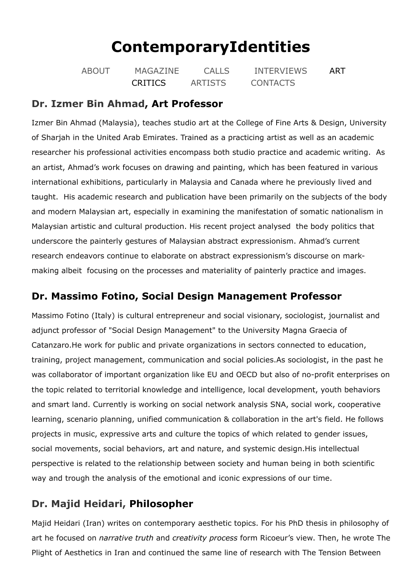# **[ContemporaryIdentities](https://www.contemporaryidentities.com/)**

| <b>ABOUT</b> | MAGAZINE       | CALLS          | <b>INTERVIEWS</b> | ART |
|--------------|----------------|----------------|-------------------|-----|
|              | <b>CRITICS</b> | <b>ARTISTS</b> | <b>CONTACTS</b>   |     |

#### **Dr. Izmer Bin [Ahmad](https://www.izmerahmad.com/), Art Professor**

Izmer Bin Ahmad (Malaysia), teaches studio art at the College of Fine Arts & Design, University of Sharjah in the United Arab Emirates. Trained as a practicing artist as well as an academic researcher his professional activities encompass both studio practice and academic writing. As an artist, Ahmad's work focuses on drawing and painting, which has been featured in various international exhibitions, particularly in Malaysia and Canada where he previously lived and taught. His academic research and publication have been primarily on the subjects of the body and modern Malaysian art, especially in examining the manifestation of somatic nationalism in Malaysian artistic and cultural production. His recent project analysed the body politics that underscore the painterly gestures of Malaysian abstract expressionism. Ahmad's current research endeavors continue to elaborate on abstract expressionism's discourse on markmaking albeit focusing on the processes and materiality of painterly practice and images.

## **Dr. Massimo Fotino, Social Design Management Professor**

Massimo Fotino (Italy) is cultural entrepreneur and social visionary, sociologist, journalist and adjunct professor of "Social Design Management" to the University Magna Graecia of Catanzaro.He work for public and private organizations in sectors connected to education, training, project management, communication and social policies.As sociologist, in the past he was collaborator of important organization like EU and OECD but also of no-profit enterprises on the topic related to territorial knowledge and intelligence, local development, youth behaviors and smart land. Currently is working on social network analysis SNA, social work, cooperative learning, scenario planning, unified communication & collaboration in the art's field. He follows projects in music, expressive arts and culture the topics of which related to gender issues, social movements, social behaviors, art and nature, and systemic design.His intellectual perspective is related to the relationship between society and human being in both scientific way and trough the analysis of the emotional and iconic expressions of our time.

# **Dr. Majid Heidari, Philosopher**

Majid Heidari (Iran) writes on contemporary aesthetic topics. For his PhD thesis in philosophy of art he focused on *narrative truth* and *creativity process* form Ricoeur's view. Then, he wrote The Plight of Aesthetics in Iran and continued the same line of research with The Tension Between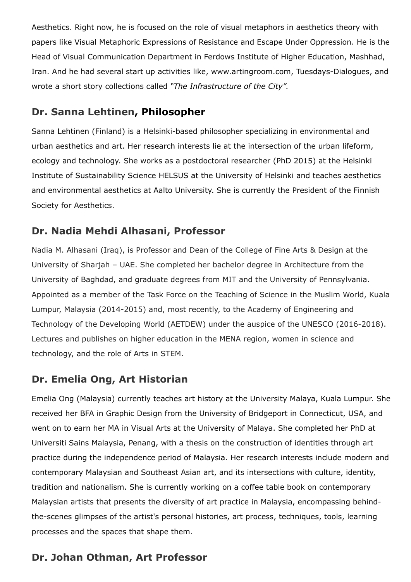Aesthetics. Right now, he is focused on the role of visual metaphors in aesthetics theory with papers like Visual Metaphoric Expressions of Resistance and Escape Under Oppression. He is the Head of Visual Communication Department in Ferdows Institute of Higher Education, Mashhad, Iran. And he had several start up activities like, www.artingroom.com, Tuesdays-Dialogues, and wrote a short story collections called *"The Infrastructure of the City".*

#### **Dr. Sanna [Lehtinen,](https://www.instagram.com/sannatlehtinen/) Philosopher**

Sanna Lehtinen (Finland) is a Helsinki-based philosopher specializing in environmental and urban aesthetics and art. Her research interests lie at the intersection of the urban lifeform, ecology and technology. She works as a postdoctoral researcher (PhD 2015) at the Helsinki Institute of Sustainability Science HELSUS at the University of Helsinki and teaches aesthetics and environmental aesthetics at Aalto University. She is currently the President of the Finnish Society for Aesthetics.

## **Dr. Nadia Mehdi Alhasani, [Professor](http://www.sharjah.ac.ae/en/academics/Colleges/fa/Pages/default.aspx)**

Nadia M. Alhasani (Iraq), is Professor and Dean of the College of Fine Arts & Design at the University of Sharjah – UAE. She completed her bachelor degree in Architecture from the University of Baghdad, and graduate degrees from MIT and the University of Pennsylvania. Appointed as a member of the Task Force on the Teaching of Science in the Muslim World, Kuala Lumpur, Malaysia (2014-2015) and, most recently, to the Academy of Engineering and Technology of the Developing World (AETDEW) under the auspice of the UNESCO (2016-2018). Lectures and publishes on higher education in the MENA region, women in science and technology, and the role of Arts in STEM.

# **Dr. [Emelia](https://malaya.academia.edu/EmeliaOng) Ong, Art Historian**

Emelia Ong (Malaysia) currently teaches art history at the University Malaya, Kuala Lumpur. She received her BFA in Graphic Design from the University of Bridgeport in Connecticut, USA, and went on to earn her MA in Visual Arts at the University of Malaya. She completed her PhD at Universiti Sains Malaysia, Penang, with a thesis on the construction of identities through art practice during the independence period of Malaysia. Her research interests include modern and contemporary Malaysian and Southeast Asian art, and its intersections with culture, identity, tradition and nationalism. She is currently working on a coffee table book on contemporary Malaysian artists that presents the diversity of art practice in Malaysia, encompassing behindthe-scenes glimpses of the artist's personal histories, art process, techniques, tools, learning processes and the spaces that shape them.

# **Dr. Johan Othman, Art Professor**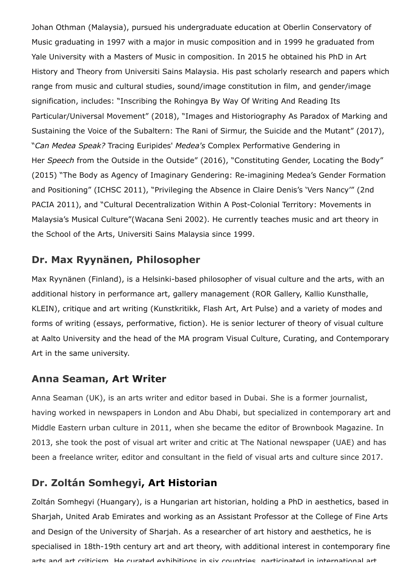Johan Othman (Malaysia), pursued his undergraduate education at Oberlin Conservatory of Music graduating in 1997 with a major in music composition and in 1999 he graduated from Yale University with a Masters of Music in composition. In 2015 he obtained his PhD in Art History and Theory from Universiti Sains Malaysia. His past scholarly research and papers which range from music and cultural studies, sound/image constitution in film, and gender/image signification, includes: "Inscribing the Rohingya By Way Of Writing And Reading Its Particular/Universal Movement" (2018), "Images and Historiography As Paradox of Marking and Sustaining the Voice of the Subaltern: The Rani of Sirmur, the Suicide and the Mutant" (2017), "*Can Medea Speak?* Tracing Euripides' *Medea's* Complex Performative Gendering in Her *Speech* from the Outside in the Outside" (2016), "Constituting Gender, Locating the Body" (2015) "The Body as Agency of Imaginary Gendering: Re-imagining Medea's Gender Formation and Positioning" (ICHSC 2011), "Privileging the Absence in Claire Denis's 'Vers Nancy'" (2nd PACIA 2011), and "Cultural Decentralization Within A Post-Colonial Territory: Movements in Malaysia's Musical Culture"(Wacana Seni 2002). He currently teaches music and art theory in the School of the Arts, Universiti Sains Malaysia since 1999.

#### **Dr. Max [Ryynänen,](http://maxryynanen.net/) Philosopher**

Max Ryynänen (Finland), is a Helsinki-based philosopher of visual culture and the arts, with an additional history in performance art, gallery management (ROR Gallery, Kallio Kunsthalle, KLEIN), critique and art writing (Kunstkritikk, Flash Art, Art Pulse) and a variety of modes and forms of writing (essays, performative, fiction). He is senior lecturer of theory of visual culture at Aalto University and the head of the MA program Visual Culture, Curating, and Contemporary Art in the same university.

#### **Anna [Seaman,](https://www.annaseaman.com/) Art Writer**

Anna Seaman (UK), is an arts writer and editor based in Dubai. She is a former journalist, having worked in newspapers in London and Abu Dhabi, but specialized in contemporary art and Middle Eastern urban culture in 2011, when she became the editor of Brownbook Magazine. In 2013, she took the post of visual art writer and critic at The National newspaper (UAE) and has been a freelance writer, editor and consultant in the field of visual arts and culture since 2017.

### **Dr. Zoltán [Somhegyi](http://www.zoltansomhegyi.com/), Art Historian**

Zoltán Somhegyi (Huangary), is a Hungarian art historian, holding a PhD in aesthetics, based in Sharjah, United Arab Emirates and working as an Assistant Professor at the College of Fine Arts and Design of the University of Sharjah. As a researcher of art history and aesthetics, he is specialised in 18th-19th century art and art theory, with additional interest in contemporary fine arte and art criticiem He curated exhibitione in eiv countries narticinated in international art